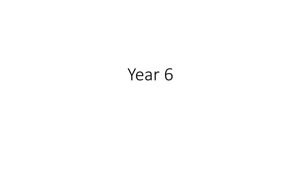# Year 6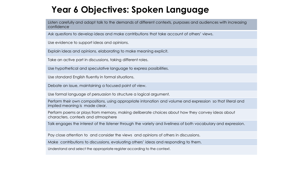### **Year 6 Objectives: Spoken Language**

Listen carefully and adapt talk to the demands of different contexts, purposes and audiences with increasing confidence.

Ask questions to develop ideas and make contributions that take account of others' views.

Use evidence to support ideas and opinions.

Explain ideas and opinions, elaborating to make meaning explicit.

Take an active part in discussions, taking different roles.

Use hypothetical and speculative language to express possibilities.

Use standard English fluently in formal situations.

Debate an issue, maintaining a focused point of view.

Use formal language of persuasion to structure a logical argument.

Perform their own compositions, using appropriate intonation and volume and expression so that literal and implied meaning is made clear.

Perform poems or plays from memory, making deliberate choices about how they convey ideas about characters, contexts and atmosphere

Talk engages the interest of the listener through the variety and liveliness of both vocabulary and expression.

Pay close attention to and consider the views and opinions of others in discussions.

Make contributions to discussions, evaluating others' ideas and responding to them.

Understand and select the appropriate register according to the context.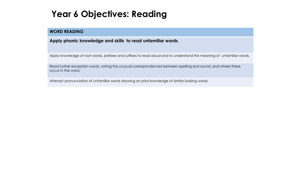### **Year 6 Objectives: Reading**

#### **WORD READING**

#### **Apply phonic knowledge and skills to read unfamiliar words**.

Apply knowledge of root words, prefixes and suffixes to read aloud and to understand the meaning of unfamiliar words.

Read further exception words, noting the unusual correspondences between spelling and sound, and where these occur in the word.

Attempt pronunciation of unfamiliar words drawing on prior knowledge of similar looking words.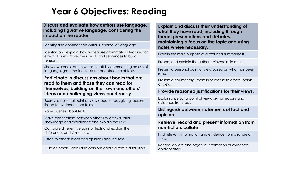### **Year 6 Objectives: Reading**

**Discuss and evaluate how authors use language, including figurative language, considering the impact on the reader.**

Identify and comment on writer's choice of language.

Identify and explain how writers use grammatical features for effect . For example, the use of short sentences to build tension.

Show awareness of the writers' craft by commenting on use of language, grammatical features and structure of texts.

#### **Participate in discussions about books that are read to them and those they can read for themselves, building on their own and others' ideas and challenging views courteously.**

Express a personal point of view about a text, giving reasons linked to evidence from texts..

Raise queries about texts.

Make connections between other similar texts, prior knowledge and experience and explain the links.

Compare different versions of texts and explain the differences and similarities.

Listen to others' ideas and opinions about a text.

Build on others' ideas and opinions about a text in discussion.

**Explain and discuss their understanding of what they have read, including through formal presentations and debates, maintaining a focus on the topic and using notes where necessary.**

Explain the main purpose of a text and summarise it.

Present and explain the author's viewpoint in a text.

Present a personal point of view based on what has been read.

Present a counter-argument in response to others' points of view.

#### **Provide reasoned justifications for their views.**

Explain a personal point of view, giving reasons and evidence from text.

#### **Distinguish between statements of fact and opinion.**

#### **Retrieve, record and present information from non-fiction. collate**

Find relevant information and evidence from a range of texts.

Record, collate and organise information or evidence appropriately.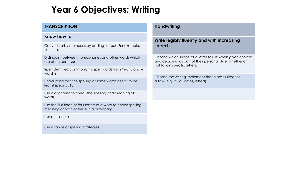### **Year 6 Objectives: Writing**

#### **TRANSCRIPTION**

#### **Know how to:**

Convert verbs into nouns by adding suffixes. For example, tion, ure.

Distinguish between homophones and other words which are often confused.

Spell identified commonly misspelt words from Year 5 and 6 word list.

Understand that the spelling of some words needs to be learnt specifically.

Use dictionaries to check the spelling and meaning of words

Use the first three or four letters of a word to check spelling, meaning or both of these in a dictionary

Use a thesaurus.

Use a range of spelling strategies.

#### **Handwriting**

#### **Write legibly fluently and with increasing speed**

Choose which shape of a letter to use when given choices and deciding, as part of their personal style, whether or not to join specific letters.

Choose the writing implement that is best suited for a task (e.g. quick notes, letters).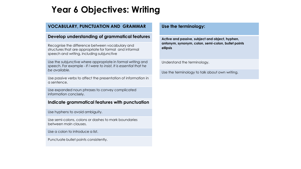### **Year 6 Objectives: Writing**

#### **VOCABULARY, PUNCTUATION AND GRAMMAR**

#### **Develop understanding of grammatical features**

Recognise the difference between vocabulary and structures that are appropriate for formal and informal speech and writing, including subjunctive

Use the subjunctive where appropriate in formal writing and speech. For example - *If I were to insist, It is essential that he be available.*

Use passive verbs to affect the presentation of information in a sentence.

Use expanded noun phrases to convey complicated information concisely.

#### **Indicate grammatical features with punctuation**

Use hyphens to avoid ambiguity.

Use semi-colons, colons or dashes to mark boundaries between main clauses.

Use a colon to introduce a list.

Punctuate bullet points consistently.

#### **Use the terminology:**

**Active and passive, subject and object, hyphen, antonym, synonym, colon, semi-colon, bullet points ellipsis**

Understand the terminology.

Use the terminology to talk about own writing.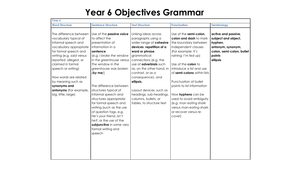### **Year 6 Objectives Grammar**

| Year 6                                                                                                                                                                                                                                                                                                                                     |                                                                                                                                                                                                                                                                                                                                                                                                                                                                                                                   |                                                                                                                                                                                                                                                                                                                                                                                              |                                                                                                                                                                                                                                                                                                                                                                                                                                  |                                                                                                                               |  |
|--------------------------------------------------------------------------------------------------------------------------------------------------------------------------------------------------------------------------------------------------------------------------------------------------------------------------------------------|-------------------------------------------------------------------------------------------------------------------------------------------------------------------------------------------------------------------------------------------------------------------------------------------------------------------------------------------------------------------------------------------------------------------------------------------------------------------------------------------------------------------|----------------------------------------------------------------------------------------------------------------------------------------------------------------------------------------------------------------------------------------------------------------------------------------------------------------------------------------------------------------------------------------------|----------------------------------------------------------------------------------------------------------------------------------------------------------------------------------------------------------------------------------------------------------------------------------------------------------------------------------------------------------------------------------------------------------------------------------|-------------------------------------------------------------------------------------------------------------------------------|--|
| <b>Word Structure</b>                                                                                                                                                                                                                                                                                                                      | <b>Sentence Structure</b>                                                                                                                                                                                                                                                                                                                                                                                                                                                                                         | <b>Text Structure</b>                                                                                                                                                                                                                                                                                                                                                                        | <b>Punctuation</b>                                                                                                                                                                                                                                                                                                                                                                                                               | <b>Terminology</b>                                                                                                            |  |
| The difference between<br>vocabulary typical of<br>informal speech and<br>vocabulary appropriate<br>for formal speech and<br>writing (e.g. said versus<br>reported, alleged, or<br>claimed in formal<br>speech or writing)<br>How words are related<br>by meaning such as<br>synonyms and<br>antonyms (For example,<br>big, little, large) | Use of the passive voice<br>to affect the<br>presentation of<br>information in a<br>sentence<br>(e.g. I broke the window<br>in the greenhouse versus<br>The window in the<br>greenhouse was broken<br>(by me)<br>The difference between<br>structures typical of<br>informal speech and<br>structures appropriate<br>for formal speech and<br>writing (such as the use<br>of question tags, e.g.<br>He's your friend, isn't<br>he?, or the use of the<br>subjunctive in some very<br>formal writing and<br>speech | Linking ideas across<br>paragraphs using a<br>wider range of cohesive<br>devices: repetition of a<br>word or phrase,<br>grammatical<br>connections (e.g. the<br>use of <b>adverbials</b> such<br>as, on the other hand, in<br>contrast, or as a<br>consequence), and<br>ellipsis.<br>Layout devices, such as<br>headings, sub-headings,<br>columns, bullets, or<br>tables, to structure text | Use of the semi-colon,<br>colon and dash to mark<br>the boundary between<br>independent clauses<br>(For example: It's<br>raining; I'm fed up)<br>Use of the colon to<br>introduce a list and use<br>of semi-colons within lists<br>Punctuation of bullet<br>points to list information<br>How hyphens can be<br>used to avoid ambiguity<br>(e.g. man eating shark<br>versus man-eating shark,<br>or recover versus re-<br>cover) | active and passive,<br>subject and object,<br>hyphen,<br>antonym, synonym,<br>colon, semi-colon, bullet<br>points<br>ellipsis |  |
|                                                                                                                                                                                                                                                                                                                                            |                                                                                                                                                                                                                                                                                                                                                                                                                                                                                                                   |                                                                                                                                                                                                                                                                                                                                                                                              |                                                                                                                                                                                                                                                                                                                                                                                                                                  |                                                                                                                               |  |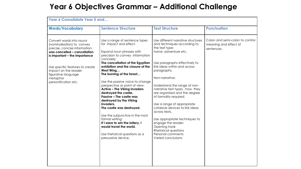### **Year 6 Objectives Grammar – Additional Challenge**

| <b>Words/Vocabulary</b>                                                                                                                                  | <b>Sentence Structure</b>                                                                                                                                                                                                                                                                                                                                                                                                                                                                                                       | <b>Text Structure</b>                                                                                                                                                                                                                                                                                                                                                                                                                                 | <b>Punctuation</b>                                                     |
|----------------------------------------------------------------------------------------------------------------------------------------------------------|---------------------------------------------------------------------------------------------------------------------------------------------------------------------------------------------------------------------------------------------------------------------------------------------------------------------------------------------------------------------------------------------------------------------------------------------------------------------------------------------------------------------------------|-------------------------------------------------------------------------------------------------------------------------------------------------------------------------------------------------------------------------------------------------------------------------------------------------------------------------------------------------------------------------------------------------------------------------------------------------------|------------------------------------------------------------------------|
| Convert words into nouns<br>(nominalisation) to convey<br>precise, concise information:<br>was cancelled - cancellation<br>is important - the importance | Use a range of sentence types<br>for impact and effect.<br>Expand noun phrases with<br>precision to convey information<br>concisely:                                                                                                                                                                                                                                                                                                                                                                                            | Use different narrative structures<br>and techniques according to<br>the text type:<br>horror, adventure etc.                                                                                                                                                                                                                                                                                                                                         | Colon and semi-colon to control<br>meaning and effect of<br>sentences. |
| Use specific features to create<br>impact on the reader:<br>figurative language<br>metaphor<br>personification etc.                                      | The cancellation of the Egyptian<br>exhibition and the closure of the<br>West Wing<br>The burning of the forest<br>Use the passive voice to change<br>perspective or point of view:<br><b>Active - The Viking invaders</b><br>destroyed the castle.<br>Passive - The castle was<br>destroyed by the Viking<br>invaders.<br>The castle was destroyed.<br>Use the subjunctive in the most<br>formal writing:<br>If I were to win the lottery, I<br>would travel the world.<br>Use rhetorical questions as a<br>persuasive device. | Use paragraphs effectively to<br>link ideas within and across<br>paragraphs.<br>Non-narrative:<br>Understand the range of non-<br>narrative text types, how they<br>are organised and the degree<br>of formality required.<br>Use a range of appropriate<br>cohesive devices to link ideas<br>across texts.<br>Use appropriate techniques to<br>engage the reader:<br>Opening hook<br>Rhetorical questions<br>Personal comments<br>Varied conclusions |                                                                        |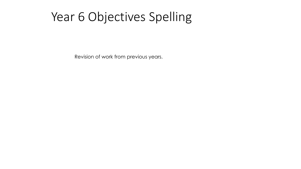## Year 6 Objectives Spelling

Revision of work from previous years.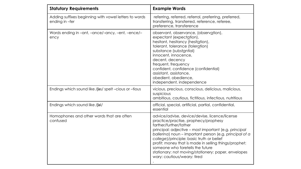| <b>Statutory Requirements</b>                                           | <b>Example Words</b>                                                                                                                                                                                                                                                                                                                                                                                                                                                |  |  |
|-------------------------------------------------------------------------|---------------------------------------------------------------------------------------------------------------------------------------------------------------------------------------------------------------------------------------------------------------------------------------------------------------------------------------------------------------------------------------------------------------------------------------------------------------------|--|--|
| Adding suffixes beginning with vowel letters to words<br>ending in -fer | referring, referred, referral, preferring, preferred,<br>transferring, transferred, reference, referee,<br>preference, transference                                                                                                                                                                                                                                                                                                                                 |  |  |
| Words ending in -ant, -ance/-ancy, -ent, -ence/-<br>ency                | observant, observance, (observation),<br>expectant (expectation),<br>hesitant, hesitancy (hesitation),<br>tolerant, tolerance (toleration)<br>substance (substantial)<br>innocent, innocence,<br>decent, decency<br>frequent, frequency<br>confident, confidence (confidential)<br>assistant, assistance,<br>obedient, obedience,<br>independent, independence                                                                                                      |  |  |
| Endings which sound like / [as/ spelt -cious or -tious                  | vicious, precious, conscious, delicious, malicious,<br>suspicious<br>ambitious, cautious, fictitious, infectious, nutritious                                                                                                                                                                                                                                                                                                                                        |  |  |
| Endings which sound like /fal/                                          | official, special, artificial, partial, confidential,<br>essential                                                                                                                                                                                                                                                                                                                                                                                                  |  |  |
| Homophones and other words that are often<br>confused                   | advice/advise, device/devise, licence/license<br>practice/practise, prophecy/prophesy<br>farther/further/father<br>principal: adjective – most important (e.g. principal<br>ballerina) noun - important person (e.g. principal of a<br>college)/principle: basic truth or belief<br>profit: money that is made in selling things/prophet:<br>someone who foretells the future<br>stationary: not moving/stationery: paper, envelopes<br>wary: cautious/weary: tired |  |  |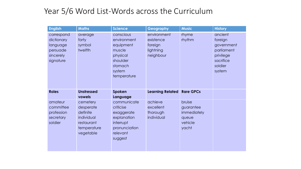### Year 5/6 Word List-Words across the Curriculum

| <b>English</b>                                                             | <b>Maths</b>                                                                              | <b>Science</b>                                                                                              | Geography                                                     | <b>Music</b>                                                    | <b>History</b>                                                                                |
|----------------------------------------------------------------------------|-------------------------------------------------------------------------------------------|-------------------------------------------------------------------------------------------------------------|---------------------------------------------------------------|-----------------------------------------------------------------|-----------------------------------------------------------------------------------------------|
| correspond<br>dictionary<br>language<br>persuade<br>sincerely<br>signature | average<br>forty<br>symbol<br>twelfth                                                     | conscious<br>environment<br>equipment<br>muscle<br>physical<br>shoulder<br>stomach<br>system<br>temperature | environment<br>existence<br>foreign<br>lightning<br>neighbour | rhyme<br>rhythm                                                 | ancient<br>foreign<br>government<br>parliament<br>privilege<br>sacrifice<br>soldier<br>system |
| <b>Roles</b>                                                               | <b>Unstressed</b><br>vowels                                                               | Spoken<br>Language                                                                                          | <b>Learning Related</b>                                       | <b>Rare GPCs</b>                                                |                                                                                               |
| amateur<br>committee<br>profession<br>secretary<br>soldier                 | cemetery<br>desperate<br>definite<br>individual<br>restaurant<br>temperature<br>vegetable | communicate<br>criticise<br>exaggerate<br>explanation<br>interrupt<br>pronunciation<br>relevant<br>suggest  | achieve<br>excellent<br>thorough<br>individual                | bruise<br>guarantee<br>immediately<br>queue<br>vehicle<br>yacht |                                                                                               |